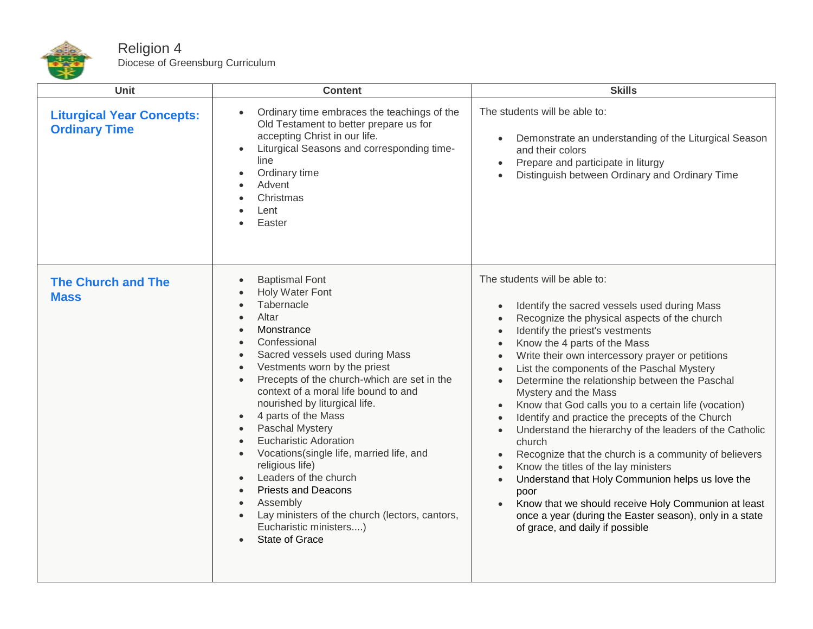

| Unit                                                     | <b>Content</b>                                                                                                                                                                                                                                                                                                                                                                                                                                                                                                                                                                                                                                                                                                                                                                                               | <b>Skills</b>                                                                                                                                                                                                                                                                                                                                                                                                                                                                                                                                                                                                                                                                                                                                                                                                                                                                                                                                                                                                                                            |
|----------------------------------------------------------|--------------------------------------------------------------------------------------------------------------------------------------------------------------------------------------------------------------------------------------------------------------------------------------------------------------------------------------------------------------------------------------------------------------------------------------------------------------------------------------------------------------------------------------------------------------------------------------------------------------------------------------------------------------------------------------------------------------------------------------------------------------------------------------------------------------|----------------------------------------------------------------------------------------------------------------------------------------------------------------------------------------------------------------------------------------------------------------------------------------------------------------------------------------------------------------------------------------------------------------------------------------------------------------------------------------------------------------------------------------------------------------------------------------------------------------------------------------------------------------------------------------------------------------------------------------------------------------------------------------------------------------------------------------------------------------------------------------------------------------------------------------------------------------------------------------------------------------------------------------------------------|
| <b>Liturgical Year Concepts:</b><br><b>Ordinary Time</b> | Ordinary time embraces the teachings of the<br>Old Testament to better prepare us for<br>accepting Christ in our life.<br>Liturgical Seasons and corresponding time-<br>$\bullet$<br>line<br>Ordinary time<br>$\bullet$<br>Advent<br>Christmas<br>Lent<br>Easter                                                                                                                                                                                                                                                                                                                                                                                                                                                                                                                                             | The students will be able to:<br>Demonstrate an understanding of the Liturgical Season<br>$\bullet$<br>and their colors<br>Prepare and participate in liturgy<br>$\bullet$<br>Distinguish between Ordinary and Ordinary Time<br>$\bullet$                                                                                                                                                                                                                                                                                                                                                                                                                                                                                                                                                                                                                                                                                                                                                                                                                |
| <b>The Church and The</b><br><b>Mass</b>                 | <b>Baptismal Font</b><br>$\bullet$<br>Holy Water Font<br>$\bullet$<br>Tabernacle<br>$\bullet$<br>Altar<br>$\bullet$<br>Monstrance<br>$\bullet$<br>Confessional<br>Sacred vessels used during Mass<br>$\bullet$<br>Vestments worn by the priest<br>$\bullet$<br>Precepts of the church-which are set in the<br>$\bullet$<br>context of a moral life bound to and<br>nourished by liturgical life.<br>4 parts of the Mass<br>$\bullet$<br>Paschal Mystery<br>$\bullet$<br><b>Eucharistic Adoration</b><br>$\bullet$<br>Vocations(single life, married life, and<br>$\bullet$<br>religious life)<br>Leaders of the church<br>$\bullet$<br><b>Priests and Deacons</b><br>$\bullet$<br>Assembly<br>$\bullet$<br>Lay ministers of the church (lectors, cantors,<br>Eucharistic ministers)<br><b>State of Grace</b> | The students will be able to:<br>Identify the sacred vessels used during Mass<br>Recognize the physical aspects of the church<br>$\bullet$<br>Identify the priest's vestments<br>$\bullet$<br>Know the 4 parts of the Mass<br>$\bullet$<br>Write their own intercessory prayer or petitions<br>$\bullet$<br>List the components of the Paschal Mystery<br>$\bullet$<br>Determine the relationship between the Paschal<br>$\bullet$<br>Mystery and the Mass<br>Know that God calls you to a certain life (vocation)<br>$\bullet$<br>Identify and practice the precepts of the Church<br>$\bullet$<br>Understand the hierarchy of the leaders of the Catholic<br>$\bullet$<br>church<br>Recognize that the church is a community of believers<br>$\bullet$<br>Know the titles of the lay ministers<br>$\bullet$<br>Understand that Holy Communion helps us love the<br>$\bullet$<br>poor<br>Know that we should receive Holy Communion at least<br>$\bullet$<br>once a year (during the Easter season), only in a state<br>of grace, and daily if possible |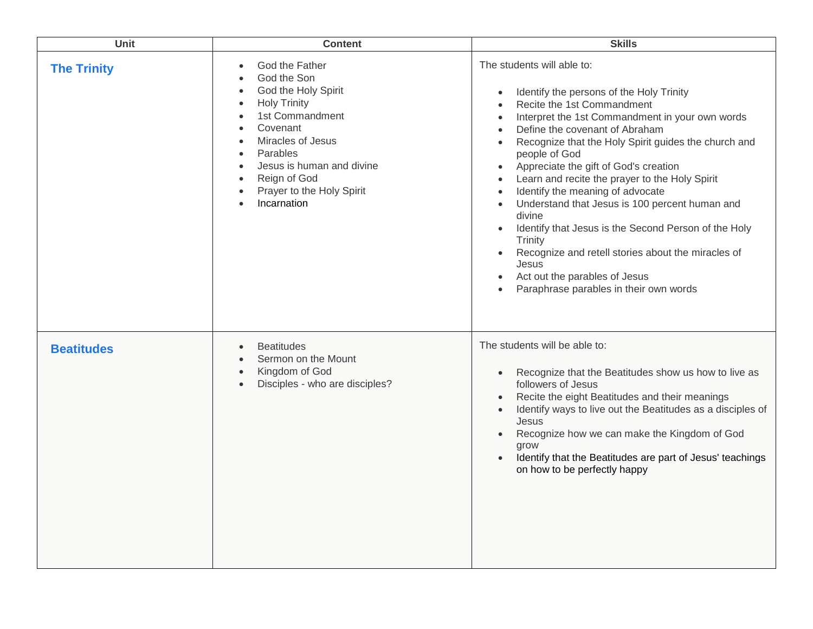| Unit               | <b>Content</b>                                                                                                                                                                                                                                                                                                                                                                                   | <b>Skills</b>                                                                                                                                                                                                                                                                                                                                                                                                                                                                                                                                                                                                                                                                                                                                                                                   |
|--------------------|--------------------------------------------------------------------------------------------------------------------------------------------------------------------------------------------------------------------------------------------------------------------------------------------------------------------------------------------------------------------------------------------------|-------------------------------------------------------------------------------------------------------------------------------------------------------------------------------------------------------------------------------------------------------------------------------------------------------------------------------------------------------------------------------------------------------------------------------------------------------------------------------------------------------------------------------------------------------------------------------------------------------------------------------------------------------------------------------------------------------------------------------------------------------------------------------------------------|
| <b>The Trinity</b> | God the Father<br>$\bullet$<br>God the Son<br>$\bullet$<br>God the Holy Spirit<br>$\bullet$<br><b>Holy Trinity</b><br>$\bullet$<br>1st Commandment<br>$\bullet$<br>Covenant<br>$\bullet$<br>Miracles of Jesus<br>$\bullet$<br>Parables<br>$\bullet$<br>Jesus is human and divine<br>$\bullet$<br>Reign of God<br>$\bullet$<br>Prayer to the Holy Spirit<br>$\bullet$<br>Incarnation<br>$\bullet$ | The students will able to:<br>Identify the persons of the Holy Trinity<br>$\bullet$<br>Recite the 1st Commandment<br>$\bullet$<br>Interpret the 1st Commandment in your own words<br>$\bullet$<br>Define the covenant of Abraham<br>Recognize that the Holy Spirit guides the church and<br>people of God<br>Appreciate the gift of God's creation<br>$\bullet$<br>Learn and recite the prayer to the Holy Spirit<br>$\bullet$<br>Identify the meaning of advocate<br>$\bullet$<br>Understand that Jesus is 100 percent human and<br>$\bullet$<br>divine<br>Identify that Jesus is the Second Person of the Holy<br>$\bullet$<br>Trinity<br>Recognize and retell stories about the miracles of<br>Jesus<br>Act out the parables of Jesus<br>$\bullet$<br>Paraphrase parables in their own words |
| <b>Beatitudes</b>  | <b>Beatitudes</b><br>$\bullet$<br>Sermon on the Mount<br>$\bullet$<br>Kingdom of God<br>$\bullet$<br>Disciples - who are disciples?<br>$\bullet$                                                                                                                                                                                                                                                 | The students will be able to:<br>Recognize that the Beatitudes show us how to live as<br>$\bullet$<br>followers of Jesus<br>Recite the eight Beatitudes and their meanings<br>$\bullet$<br>Identify ways to live out the Beatitudes as a disciples of<br>$\bullet$<br>Jesus<br>Recognize how we can make the Kingdom of God<br>$\bullet$<br>grow<br>Identify that the Beatitudes are part of Jesus' teachings<br>$\bullet$<br>on how to be perfectly happy                                                                                                                                                                                                                                                                                                                                      |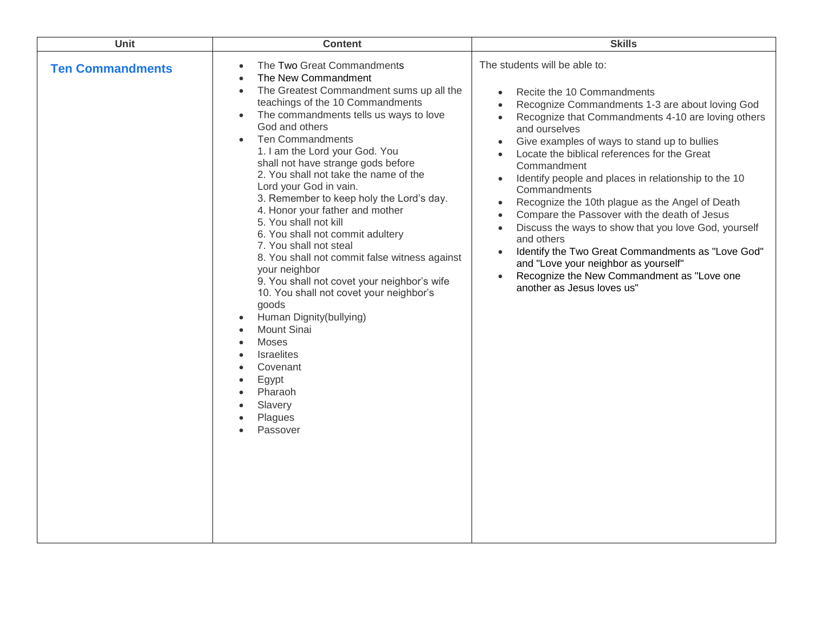| Unit                    | <b>Content</b>                                                                                                                                                                                                                                                                                                                                                                                                                                                                                                                                                                                                                                                                                                                                                                                                                                                                                                                                | <b>Skills</b>                                                                                                                                                                                                                                                                                                                                                                                                                                                                                                                                                                                                                                                                                                                                                                                                             |
|-------------------------|-----------------------------------------------------------------------------------------------------------------------------------------------------------------------------------------------------------------------------------------------------------------------------------------------------------------------------------------------------------------------------------------------------------------------------------------------------------------------------------------------------------------------------------------------------------------------------------------------------------------------------------------------------------------------------------------------------------------------------------------------------------------------------------------------------------------------------------------------------------------------------------------------------------------------------------------------|---------------------------------------------------------------------------------------------------------------------------------------------------------------------------------------------------------------------------------------------------------------------------------------------------------------------------------------------------------------------------------------------------------------------------------------------------------------------------------------------------------------------------------------------------------------------------------------------------------------------------------------------------------------------------------------------------------------------------------------------------------------------------------------------------------------------------|
| <b>Ten Commandments</b> | The Two Great Commandments<br>$\bullet$<br>The New Commandment<br>$\bullet$<br>The Greatest Commandment sums up all the<br>$\bullet$<br>teachings of the 10 Commandments<br>The commandments tells us ways to love<br>$\bullet$<br>God and others<br><b>Ten Commandments</b><br>$\bullet$<br>1. I am the Lord your God. You<br>shall not have strange gods before<br>2. You shall not take the name of the<br>Lord your God in vain.<br>3. Remember to keep holy the Lord's day.<br>4. Honor your father and mother<br>5. You shall not kill<br>6. You shall not commit adultery<br>7. You shall not steal<br>8. You shall not commit false witness against<br>your neighbor<br>9. You shall not covet your neighbor's wife<br>10. You shall not covet your neighbor's<br>goods<br>Human Dignity(bullying)<br>$\bullet$<br>Mount Sinai<br><b>Moses</b><br><b>Israelites</b><br>Covenant<br>Egypt<br>Pharaoh<br>Slavery<br>Plagues<br>Passover | The students will be able to:<br>Recite the 10 Commandments<br>$\bullet$<br>Recognize Commandments 1-3 are about loving God<br>Recognize that Commandments 4-10 are loving others<br>and ourselves<br>Give examples of ways to stand up to bullies<br>$\bullet$<br>Locate the biblical references for the Great<br>Commandment<br>Identify people and places in relationship to the 10<br>$\bullet$<br>Commandments<br>Recognize the 10th plague as the Angel of Death<br>$\bullet$<br>Compare the Passover with the death of Jesus<br>$\bullet$<br>Discuss the ways to show that you love God, yourself<br>$\bullet$<br>and others<br>Identify the Two Great Commandments as "Love God"<br>and "Love your neighbor as yourself"<br>Recognize the New Commandment as "Love one<br>$\bullet$<br>another as Jesus loves us" |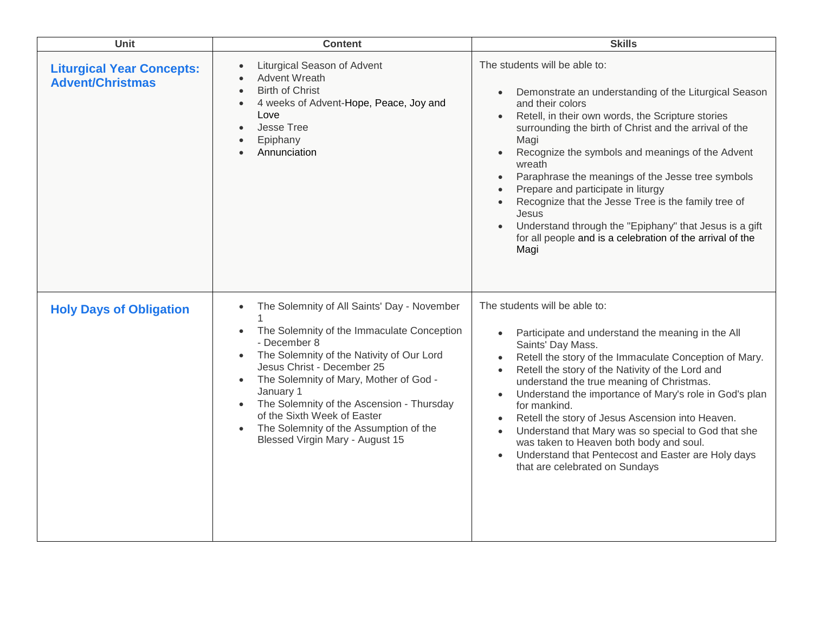| Unit                                                        | <b>Content</b>                                                                                                                                                                                                                                                                                                                                                                                                                                                        | <b>Skills</b>                                                                                                                                                                                                                                                                                                                                                                                                                                                                                                                                                                                                                    |
|-------------------------------------------------------------|-----------------------------------------------------------------------------------------------------------------------------------------------------------------------------------------------------------------------------------------------------------------------------------------------------------------------------------------------------------------------------------------------------------------------------------------------------------------------|----------------------------------------------------------------------------------------------------------------------------------------------------------------------------------------------------------------------------------------------------------------------------------------------------------------------------------------------------------------------------------------------------------------------------------------------------------------------------------------------------------------------------------------------------------------------------------------------------------------------------------|
| <b>Liturgical Year Concepts:</b><br><b>Advent/Christmas</b> | Liturgical Season of Advent<br><b>Advent Wreath</b><br><b>Birth of Christ</b><br>4 weeks of Advent-Hope, Peace, Joy and<br>Love<br>Jesse Tree<br>Epiphany<br>Annunciation                                                                                                                                                                                                                                                                                             | The students will be able to:<br>Demonstrate an understanding of the Liturgical Season<br>$\bullet$<br>and their colors<br>Retell, in their own words, the Scripture stories<br>surrounding the birth of Christ and the arrival of the<br>Magi<br>Recognize the symbols and meanings of the Advent<br>$\bullet$<br>wreath<br>Paraphrase the meanings of the Jesse tree symbols<br>$\bullet$<br>Prepare and participate in liturgy<br>Recognize that the Jesse Tree is the family tree of<br>Jesus<br>Understand through the "Epiphany" that Jesus is a gift<br>for all people and is a celebration of the arrival of the<br>Magi |
| <b>Holy Days of Obligation</b>                              | The Solemnity of All Saints' Day - November<br>$\bullet$<br>The Solemnity of the Immaculate Conception<br>$\bullet$<br>- December 8<br>The Solemnity of the Nativity of Our Lord<br>$\bullet$<br>Jesus Christ - December 25<br>The Solemnity of Mary, Mother of God -<br>$\bullet$<br>January 1<br>The Solemnity of the Ascension - Thursday<br>$\bullet$<br>of the Sixth Week of Easter<br>The Solemnity of the Assumption of the<br>Blessed Virgin Mary - August 15 | The students will be able to:<br>Participate and understand the meaning in the All<br>Saints' Day Mass.<br>Retell the story of the Immaculate Conception of Mary.<br>Retell the story of the Nativity of the Lord and<br>understand the true meaning of Christmas.<br>Understand the importance of Mary's role in God's plan<br>$\bullet$<br>for mankind.<br>Retell the story of Jesus Ascension into Heaven.<br>$\bullet$<br>Understand that Mary was so special to God that she<br>was taken to Heaven both body and soul.<br>Understand that Pentecost and Easter are Holy days<br>that are celebrated on Sundays             |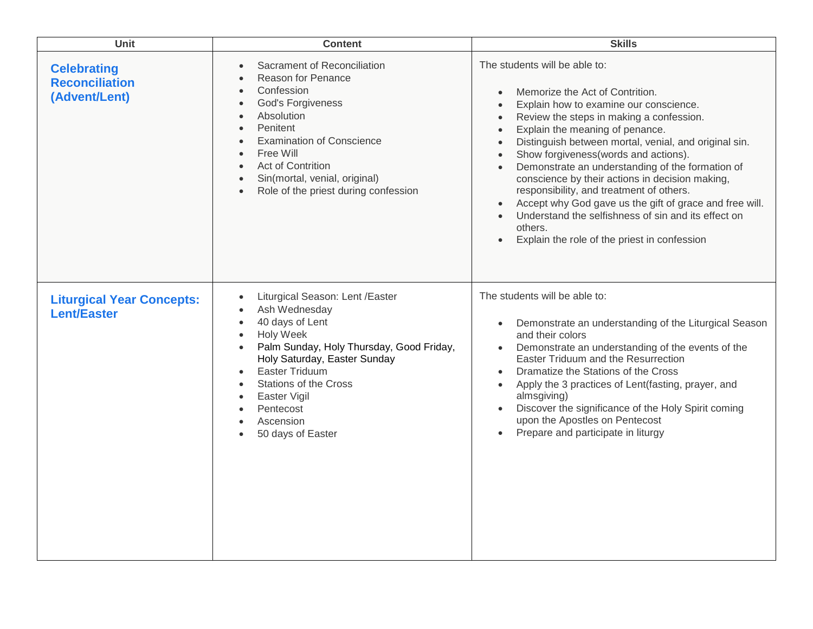| Unit                                                         | <b>Content</b>                                                                                                                                                                                                                                                                                                                                                                                      | <b>Skills</b>                                                                                                                                                                                                                                                                                                                                                                                                                                                                                                                                                                                                                                                                                                                                    |
|--------------------------------------------------------------|-----------------------------------------------------------------------------------------------------------------------------------------------------------------------------------------------------------------------------------------------------------------------------------------------------------------------------------------------------------------------------------------------------|--------------------------------------------------------------------------------------------------------------------------------------------------------------------------------------------------------------------------------------------------------------------------------------------------------------------------------------------------------------------------------------------------------------------------------------------------------------------------------------------------------------------------------------------------------------------------------------------------------------------------------------------------------------------------------------------------------------------------------------------------|
| <b>Celebrating</b><br><b>Reconciliation</b><br>(Advent/Lent) | Sacrament of Reconciliation<br>$\bullet$<br>Reason for Penance<br>$\bullet$<br>Confession<br>$\bullet$<br>God's Forgiveness<br>$\bullet$<br>Absolution<br>$\bullet$<br>Penitent<br>$\bullet$<br><b>Examination of Conscience</b><br>$\bullet$<br>Free Will<br>$\bullet$<br>Act of Contrition<br>$\bullet$<br>Sin(mortal, venial, original)<br>$\bullet$<br>Role of the priest during confession     | The students will be able to:<br>Memorize the Act of Contrition.<br>$\bullet$<br>Explain how to examine our conscience.<br>$\bullet$<br>Review the steps in making a confession.<br>$\bullet$<br>Explain the meaning of penance.<br>$\bullet$<br>Distinguish between mortal, venial, and original sin.<br>$\bullet$<br>Show forgiveness (words and actions).<br>$\bullet$<br>Demonstrate an understanding of the formation of<br>$\bullet$<br>conscience by their actions in decision making,<br>responsibility, and treatment of others.<br>Accept why God gave us the gift of grace and free will.<br>Understand the selfishness of sin and its effect on<br>$\bullet$<br>others.<br>Explain the role of the priest in confession<br>$\bullet$ |
| <b>Liturgical Year Concepts:</b><br><b>Lent/Easter</b>       | Liturgical Season: Lent /Easter<br>$\bullet$<br>Ash Wednesday<br>$\bullet$<br>40 days of Lent<br>$\bullet$<br><b>Holy Week</b><br>$\bullet$<br>Palm Sunday, Holy Thursday, Good Friday,<br>$\bullet$<br>Holy Saturday, Easter Sunday<br><b>Easter Triduum</b><br>$\bullet$<br><b>Stations of the Cross</b><br>$\bullet$<br>Easter Vigil<br>$\bullet$<br>Pentecost<br>Ascension<br>50 days of Easter | The students will be able to:<br>Demonstrate an understanding of the Liturgical Season<br>$\bullet$<br>and their colors<br>Demonstrate an understanding of the events of the<br>$\bullet$<br>Easter Triduum and the Resurrection<br>Dramatize the Stations of the Cross<br>$\bullet$<br>Apply the 3 practices of Lent(fasting, prayer, and<br>$\bullet$<br>almsgiving)<br>Discover the significance of the Holy Spirit coming<br>$\bullet$<br>upon the Apostles on Pentecost<br>Prepare and participate in liturgy<br>$\bullet$                                                                                                                                                                                                                  |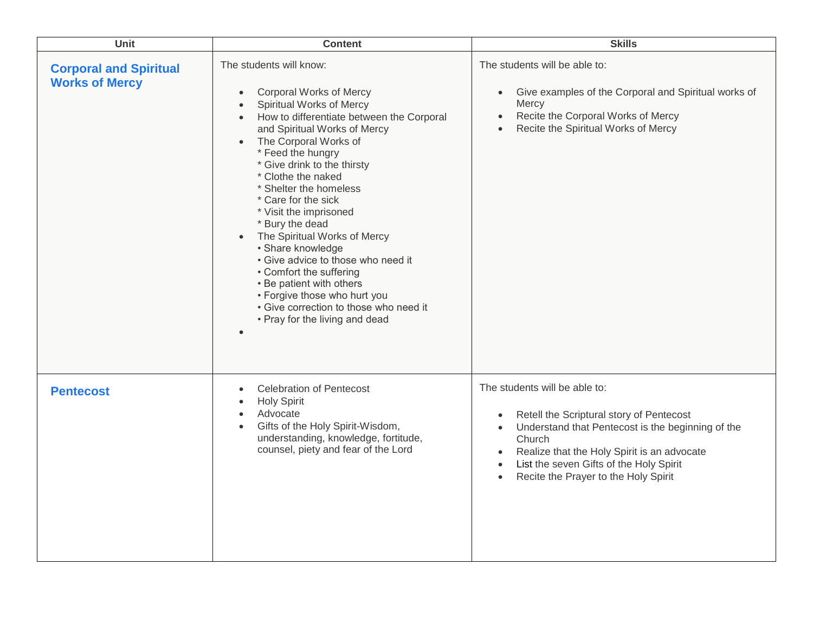| Unit                                                   | <b>Content</b>                                                                                                                                                                                                                                                                                                                                                                                                                                                                                                                                                                                                                                                                 | <b>Skills</b>                                                                                                                                                                                                                                                                                                                               |
|--------------------------------------------------------|--------------------------------------------------------------------------------------------------------------------------------------------------------------------------------------------------------------------------------------------------------------------------------------------------------------------------------------------------------------------------------------------------------------------------------------------------------------------------------------------------------------------------------------------------------------------------------------------------------------------------------------------------------------------------------|---------------------------------------------------------------------------------------------------------------------------------------------------------------------------------------------------------------------------------------------------------------------------------------------------------------------------------------------|
| <b>Corporal and Spiritual</b><br><b>Works of Mercy</b> | The students will know:<br>Corporal Works of Mercy<br>$\bullet$<br>Spiritual Works of Mercy<br>$\bullet$<br>How to differentiate between the Corporal<br>$\bullet$<br>and Spiritual Works of Mercy<br>The Corporal Works of<br>$\bullet$<br>* Feed the hungry<br>* Give drink to the thirsty<br>* Clothe the naked<br>* Shelter the homeless<br>* Care for the sick<br>* Visit the imprisoned<br>* Bury the dead<br>The Spiritual Works of Mercy<br>• Share knowledge<br>• Give advice to those who need it<br>• Comfort the suffering<br>• Be patient with others<br>• Forgive those who hurt you<br>• Give correction to those who need it<br>• Pray for the living and dead | The students will be able to:<br>Give examples of the Corporal and Spiritual works of<br>$\bullet$<br>Mercy<br>Recite the Corporal Works of Mercy<br>$\bullet$<br>Recite the Spiritual Works of Mercy                                                                                                                                       |
| <b>Pentecost</b>                                       | <b>Celebration of Pentecost</b><br>$\bullet$<br><b>Holy Spirit</b><br>$\bullet$<br>Advocate<br>$\bullet$<br>Gifts of the Holy Spirit-Wisdom,<br>$\bullet$<br>understanding, knowledge, fortitude,<br>counsel, piety and fear of the Lord                                                                                                                                                                                                                                                                                                                                                                                                                                       | The students will be able to:<br>Retell the Scriptural story of Pentecost<br>$\bullet$<br>Understand that Pentecost is the beginning of the<br>$\bullet$<br>Church<br>Realize that the Holy Spirit is an advocate<br>$\bullet$<br>List the seven Gifts of the Holy Spirit<br>$\bullet$<br>Recite the Prayer to the Holy Spirit<br>$\bullet$ |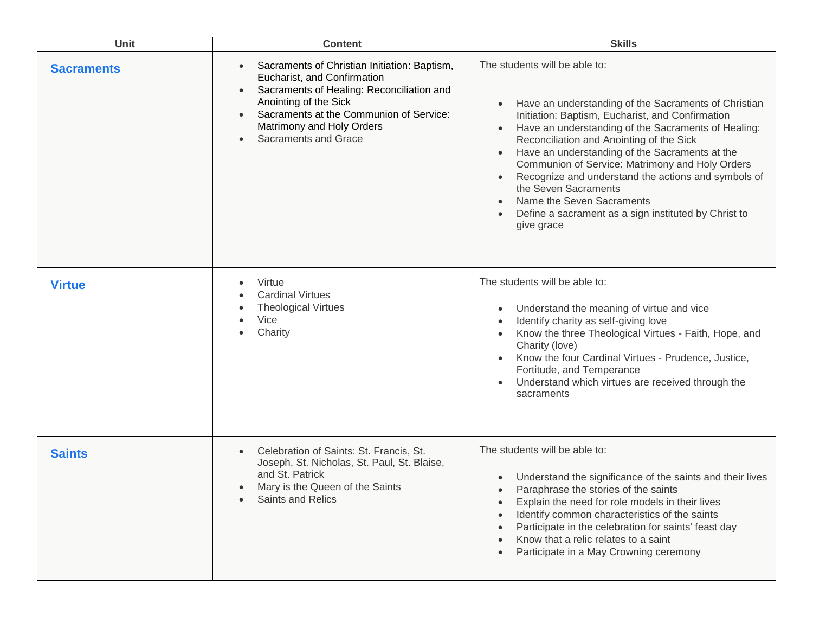| <b>Unit</b>       | <b>Content</b>                                                                                                                                                                                                                                                                                  | <b>Skills</b>                                                                                                                                                                                                                                                                                                                                                                                                                                                                                                                       |
|-------------------|-------------------------------------------------------------------------------------------------------------------------------------------------------------------------------------------------------------------------------------------------------------------------------------------------|-------------------------------------------------------------------------------------------------------------------------------------------------------------------------------------------------------------------------------------------------------------------------------------------------------------------------------------------------------------------------------------------------------------------------------------------------------------------------------------------------------------------------------------|
| <b>Sacraments</b> | Sacraments of Christian Initiation: Baptism,<br>Eucharist, and Confirmation<br>Sacraments of Healing: Reconciliation and<br>$\bullet$<br>Anointing of the Sick<br>Sacraments at the Communion of Service:<br>$\bullet$<br>Matrimony and Holy Orders<br><b>Sacraments and Grace</b><br>$\bullet$ | The students will be able to:<br>Have an understanding of the Sacraments of Christian<br>Initiation: Baptism, Eucharist, and Confirmation<br>Have an understanding of the Sacraments of Healing:<br>Reconciliation and Anointing of the Sick<br>Have an understanding of the Sacraments at the<br>Communion of Service: Matrimony and Holy Orders<br>Recognize and understand the actions and symbols of<br>the Seven Sacraments<br>Name the Seven Sacraments<br>Define a sacrament as a sign instituted by Christ to<br>give grace |
| <b>Virtue</b>     | Virtue<br><b>Cardinal Virtues</b><br><b>Theological Virtues</b><br>Vice<br>Charity                                                                                                                                                                                                              | The students will be able to:<br>Understand the meaning of virtue and vice<br>Identify charity as self-giving love<br>Know the three Theological Virtues - Faith, Hope, and<br>Charity (love)<br>Know the four Cardinal Virtues - Prudence, Justice,<br>Fortitude, and Temperance<br>Understand which virtues are received through the<br>sacraments                                                                                                                                                                                |
| <b>Saints</b>     | Celebration of Saints: St. Francis, St.<br>Joseph, St. Nicholas, St. Paul, St. Blaise,<br>and St. Patrick<br>Mary is the Queen of the Saints<br><b>Saints and Relics</b>                                                                                                                        | The students will be able to:<br>Understand the significance of the saints and their lives<br>Paraphrase the stories of the saints<br>$\bullet$<br>Explain the need for role models in their lives<br>Identify common characteristics of the saints<br>Participate in the celebration for saints' feast day<br>Know that a relic relates to a saint<br>Participate in a May Crowning ceremony                                                                                                                                       |